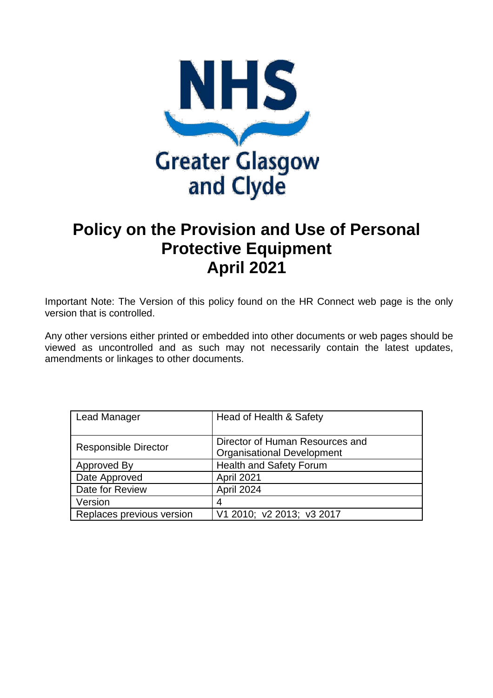

# **Policy on the Provision and Use of Personal Protective Equipment April 2021**

Important Note: The Version of this policy found on the HR Connect web page is the only version that is controlled.

Any other versions either printed or embedded into other documents or web pages should be viewed as uncontrolled and as such may not necessarily contain the latest updates, amendments or linkages to other documents.

| <b>Lead Manager</b>         | Head of Health & Safety           |
|-----------------------------|-----------------------------------|
|                             |                                   |
|                             | Director of Human Resources and   |
| <b>Responsible Director</b> | <b>Organisational Development</b> |
| Approved By                 | <b>Health and Safety Forum</b>    |
| Date Approved               | April 2021                        |
| Date for Review             | April 2024                        |
| Version                     | 4                                 |
| Replaces previous version   | V1 2010; v2 2013; v3 2017         |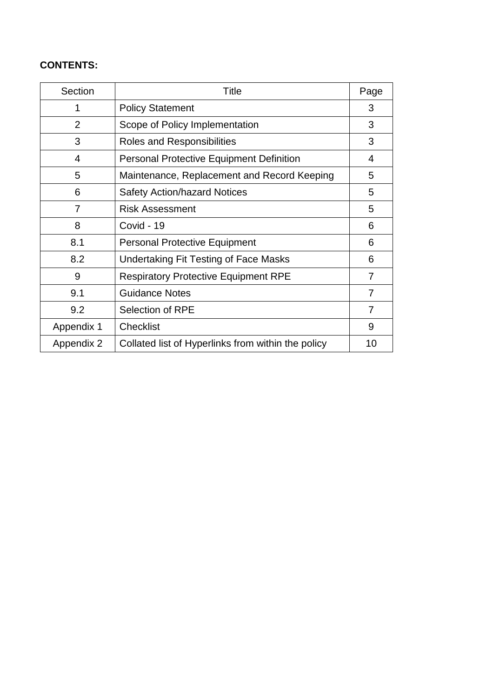# **CONTENTS:**

| Section        | Title                                              | Page |
|----------------|----------------------------------------------------|------|
| 1              | <b>Policy Statement</b>                            | 3    |
| $\overline{2}$ | Scope of Policy Implementation                     | 3    |
| 3              | <b>Roles and Responsibilities</b>                  | 3    |
| 4              | <b>Personal Protective Equipment Definition</b>    | 4    |
| 5              | Maintenance, Replacement and Record Keeping        | 5    |
| 6              | <b>Safety Action/hazard Notices</b>                | 5    |
| 7              | <b>Risk Assessment</b>                             | 5    |
| 8              | Covid - 19                                         | 6    |
| 8.1            | <b>Personal Protective Equipment</b>               | 6    |
| 8.2            | <b>Undertaking Fit Testing of Face Masks</b>       | 6    |
| 9              | <b>Respiratory Protective Equipment RPE</b>        | 7    |
| 9.1            | <b>Guidance Notes</b>                              | 7    |
| 9.2            | <b>Selection of RPE</b>                            | 7    |
| Appendix 1     | Checklist                                          | 9    |
| Appendix 2     | Collated list of Hyperlinks from within the policy | 10   |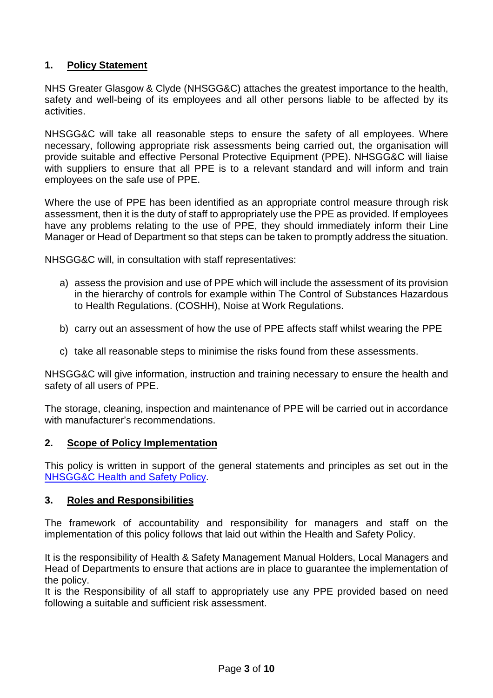# **1. Policy Statement**

NHS Greater Glasgow & Clyde (NHSGG&C) attaches the greatest importance to the health, safety and well-being of its employees and all other persons liable to be affected by its activities.

NHSGG&C will take all reasonable steps to ensure the safety of all employees. Where necessary, following appropriate risk assessments being carried out, the organisation will provide suitable and effective Personal Protective Equipment (PPE). NHSGG&C will liaise with suppliers to ensure that all PPE is to a relevant standard and will inform and train employees on the safe use of PPE.

Where the use of PPE has been identified as an appropriate control measure through risk assessment, then it is the duty of staff to appropriately use the PPE as provided. If employees have any problems relating to the use of PPE, they should immediately inform their Line Manager or Head of Department so that steps can be taken to promptly address the situation.

NHSGG&C will, in consultation with staff representatives:

- a) assess the provision and use of PPE which will include the assessment of its provision in the hierarchy of controls for example within The Control of Substances Hazardous to Health Regulations. (COSHH), Noise at Work Regulations.
- b) carry out an assessment of how the use of PPE affects staff whilst wearing the PPE
- c) take all reasonable steps to minimise the risks found from these assessments.

NHSGG&C will give information, instruction and training necessary to ensure the health and safety of all users of PPE.

The storage, cleaning, inspection and maintenance of PPE will be carried out in accordance with manufacturer's recommendations.

#### **2. Scope of Policy Implementation**

This policy is written in support of the general statements and principles as set out in the [NHSGG&C Health and Safety Policy.](https://www.nhsggc.org.uk/working-with-us/hr-connect/health-safety/policies-guidance-documents-forms/health-safety-policy/)

#### **3. Roles and Responsibilities**

The framework of accountability and responsibility for managers and staff on the implementation of this policy follows that laid out within the Health and Safety Policy.

It is the responsibility of Health & Safety Management Manual Holders, Local Managers and Head of Departments to ensure that actions are in place to guarantee the implementation of the policy.

It is the Responsibility of all staff to appropriately use any PPE provided based on need following a suitable and sufficient risk assessment.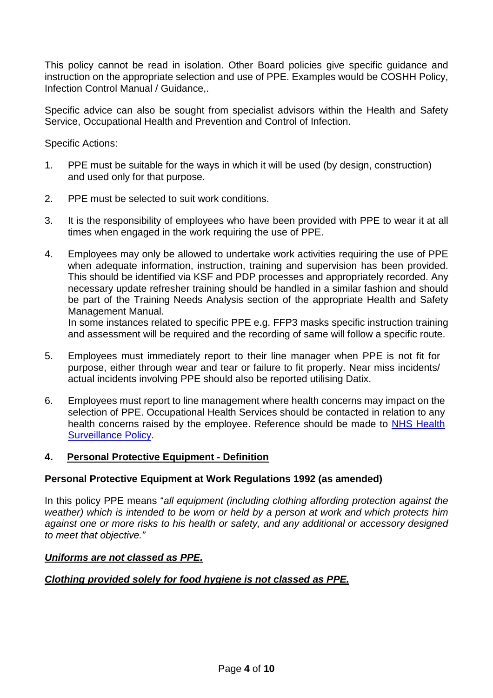This policy cannot be read in isolation. Other Board policies give specific guidance and instruction on the appropriate selection and use of PPE. Examples would be COSHH Policy, Infection Control Manual / Guidance,.

Specific advice can also be sought from specialist advisors within the Health and Safety Service, Occupational Health and Prevention and Control of Infection.

Specific Actions:

- 1. PPE must be suitable for the ways in which it will be used (by design, construction) and used only for that purpose.
- 2. PPE must be selected to suit work conditions.
- 3. It is the responsibility of employees who have been provided with PPE to wear it at all times when engaged in the work requiring the use of PPE.
- 4. Employees may only be allowed to undertake work activities requiring the use of PPE when adequate information, instruction, training and supervision has been provided. This should be identified via KSF and PDP processes and appropriately recorded. Any necessary update refresher training should be handled in a similar fashion and should be part of the Training Needs Analysis section of the appropriate Health and Safety Management Manual.

In some instances related to specific PPE e.g. FFP3 masks specific instruction training and assessment will be required and the recording of same will follow a specific route.

- 5. Employees must immediately report to their line manager when PPE is not fit for purpose, either through wear and tear or failure to fit properly. Near miss incidents/ actual incidents involving PPE should also be reported utilising Datix.
- 6. Employees must report to line management where health concerns may impact on the selection of PPE. Occupational Health Services should be contacted in relation to any health concerns raised by the employee. Reference should be made to [NHS Health](https://www.nhsggc.org.uk/working-with-us/hr-connect/health-safety/policies-guidance-documents-forms/health-surveillance/)  [Surveillance Policy.](https://www.nhsggc.org.uk/working-with-us/hr-connect/health-safety/policies-guidance-documents-forms/health-surveillance/)

#### **4. Personal Protective Equipment - Definition**

#### **Personal Protective Equipment at Work Regulations 1992 (as amended)**

In this policy PPE means "*all equipment (including clothing affording protection against the weather) which is intended to be worn or held by a person at work and which protects him against one or more risks to his health or safety, and any additional or accessory designed to meet that objective."*

#### *Uniforms are not classed as PPE.*

#### *Clothing provided solely for food hygiene is not classed as PPE.*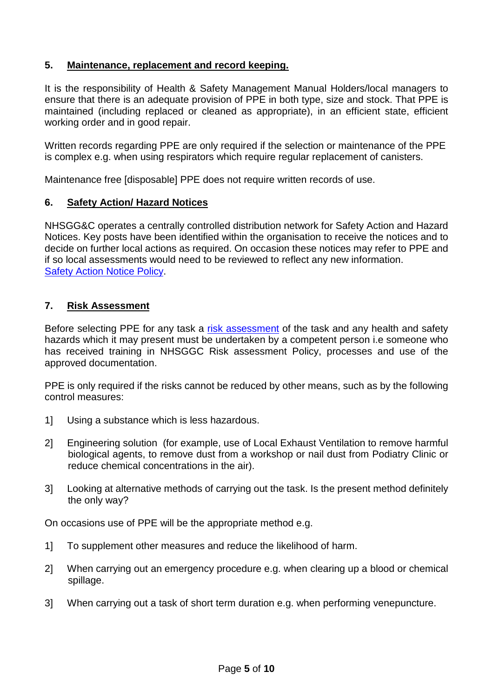# **5. Maintenance, replacement and record keeping.**

It is the responsibility of Health & Safety Management Manual Holders/local managers to ensure that there is an adequate provision of PPE in both type, size and stock. That PPE is maintained (including replaced or cleaned as appropriate), in an efficient state, efficient working order and in good repair.

Written records regarding PPE are only required if the selection or maintenance of the PPE is complex e.g. when using respirators which require regular replacement of canisters.

Maintenance free [disposable] PPE does not require written records of use.

#### **6. Safety Action/ Hazard Notices**

NHSGG&C operates a centrally controlled distribution network for Safety Action and Hazard Notices. Key posts have been identified within the organisation to receive the notices and to decide on further local actions as required. On occasion these notices may refer to PPE and if so local assessments would need to be reviewed to reflect any new information. [Safety Action Notice](https://www.nhsggc.org.uk/working-with-us/hr-connect/health-safety/policies-guidance-documents-forms/safety-action-notice/) Policy.

#### **7. Risk Assessment**

Before selecting PPE for any task a [risk assessment](https://www.nhsggc.org.uk/working-with-us/hr-connect/health-safety/management-manual/risk-assessment/) of the task and any health and safety hazards which it may present must be undertaken by a competent person i.e someone who has received training in NHSGGC Risk assessment Policy, processes and use of the approved documentation.

PPE is only required if the risks cannot be reduced by other means, such as by the following control measures:

- 1] Using a substance which is less hazardous.
- 2] Engineering solution (for example, use of Local Exhaust Ventilation to remove harmful biological agents, to remove dust from a workshop or nail dust from Podiatry Clinic or reduce chemical concentrations in the air).
- 3] Looking at alternative methods of carrying out the task. Is the present method definitely the only way?

On occasions use of PPE will be the appropriate method e.g.

- 1] To supplement other measures and reduce the likelihood of harm.
- 2] When carrying out an emergency procedure e.g. when clearing up a blood or chemical spillage.
- 3] When carrying out a task of short term duration e.g. when performing venepuncture.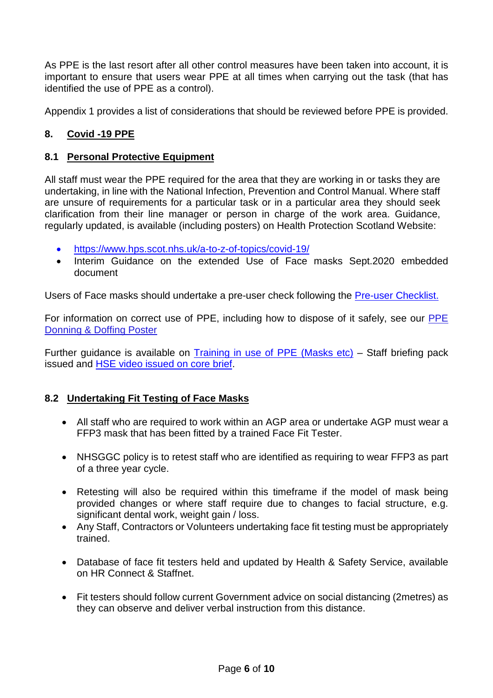As PPE is the last resort after all other control measures have been taken into account, it is important to ensure that users wear PPE at all times when carrying out the task (that has identified the use of PPE as a control).

Appendix 1 provides a list of considerations that should be reviewed before PPE is provided.

# **8. Covid -19 PPE**

#### **8.1 Personal Protective Equipment**

All staff must wear the PPE required for the area that they are working in or tasks they are undertaking, in line with the National Infection, Prevention and Control Manual. Where staff are unsure of requirements for a particular task or in a particular area they should seek clarification from their line manager or person in charge of the work area. Guidance, regularly updated, is available (including posters) on Health Protection Scotland Website:

- <https://www.hps.scot.nhs.uk/a-to-z-of-topics/covid-19/>
- Interim Guidance on the extended Use of Face masks Sept.2020 embedded document

Users of Face masks should undertake a pre-user check following the [Pre-user Checklist.](https://www.nhsggc.org.uk/media/263337/ffp3-disposable-mask-face-mask-pre-user-check.docx)

For information on correct use of PPE, including how to dispose of it safely, see our PPE [Donning & Doffing Poster](https://www.nhsggc.org.uk/media/259300/ppe-donning_doffing-poster-amended-mar-20-draft.pdf)

Further guidance is available on [Training in use of PPE \(Masks etc\)](https://www.nhsggc.org.uk/media/264667/covid19_staff_face_masks_coverings.pdf) – Staff briefing pack issued and [HSE video issued on core brief.](https://www.nhsggc.org.uk/media/265069/024-core-brief-5-february-2021-daily-update.pdf)

#### **8.2 Undertaking Fit Testing of Face Masks**

- All staff who are required to work within an AGP area or undertake AGP must wear a FFP3 mask that has been fitted by a trained Face Fit Tester.
- NHSGGC policy is to retest staff who are identified as requiring to wear FFP3 as part of a three year cycle.
- Retesting will also be required within this timeframe if the model of mask being provided changes or where staff require due to changes to facial structure, e.g. significant dental work, weight gain / loss.
- Any Staff, Contractors or Volunteers undertaking face fit testing must be appropriately trained.
- Database of face fit testers held and updated by Health & Safety Service, available on HR Connect & Staffnet.
- Fit testers should follow current Government advice on social distancing (2metres) as they can observe and deliver verbal instruction from this distance.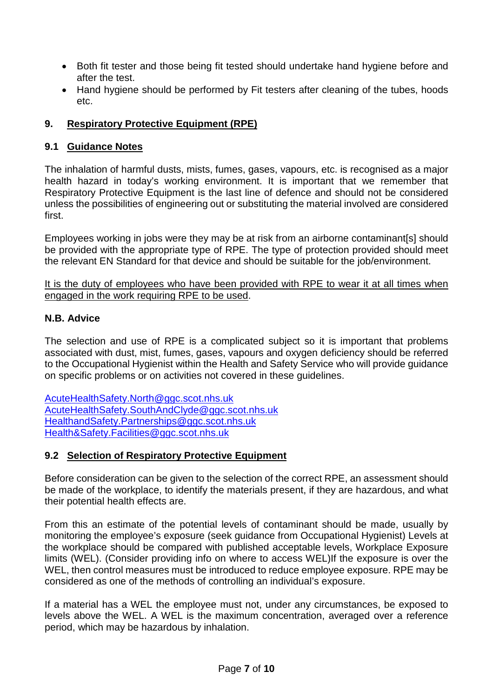- Both fit tester and those being fit tested should undertake hand hygiene before and after the test.
- Hand hygiene should be performed by Fit testers after cleaning of the tubes, hoods etc.

# **9. Respiratory Protective Equipment (RPE)**

## **9.1 Guidance Notes**

The inhalation of harmful dusts, mists, fumes, gases, vapours, etc. is recognised as a major health hazard in today's working environment. It is important that we remember that Respiratory Protective Equipment is the last line of defence and should not be considered unless the possibilities of engineering out or substituting the material involved are considered first.

Employees working in jobs were they may be at risk from an airborne contaminant[s] should be provided with the appropriate type of RPE. The type of protection provided should meet the relevant EN Standard for that device and should be suitable for the job/environment.

It is the duty of employees who have been provided with RPE to wear it at all times when engaged in the work requiring RPE to be used.

#### **N.B. Advice**

The selection and use of RPE is a complicated subject so it is important that problems associated with dust, mist, fumes, gases, vapours and oxygen deficiency should be referred to the Occupational Hygienist within the Health and Safety Service who will provide guidance on specific problems or on activities not covered in these guidelines.

[AcuteHealthSafety.North@ggc.scot.nhs.uk](mailto:AcuteHealthSafety.North@ggc.scot.nhs.uk) [AcuteHealthSafety.SouthAndClyde@ggc.scot.nhs.uk](mailto:AcuteHealthSafety.SouthAndClyde@ggc.scot.nhs.uk) [HealthandSafety.Partnerships@ggc.scot.nhs.uk](mailto:HealthandSafety.Partnerships@ggc.scot.nhs.uk) [Health&Safety.Facilities@ggc.scot.nhs.uk](mailto:Health&Safety.Facilities@ggc.scot.nhs.uk)

# **9.2 Selection of Respiratory Protective Equipment**

Before consideration can be given to the selection of the correct RPE, an assessment should be made of the workplace, to identify the materials present, if they are hazardous, and what their potential health effects are.

From this an estimate of the potential levels of contaminant should be made, usually by monitoring the employee's exposure (seek guidance from Occupational Hygienist) Levels at the workplace should be compared with published acceptable levels, Workplace Exposure limits (WEL). (Consider providing info on where to access WEL)If the exposure is over the WEL, then control measures must be introduced to reduce employee exposure. RPE may be considered as one of the methods of controlling an individual's exposure.

If a material has a WEL the employee must not, under any circumstances, be exposed to levels above the WEL. A WEL is the maximum concentration, averaged over a reference period, which may be hazardous by inhalation.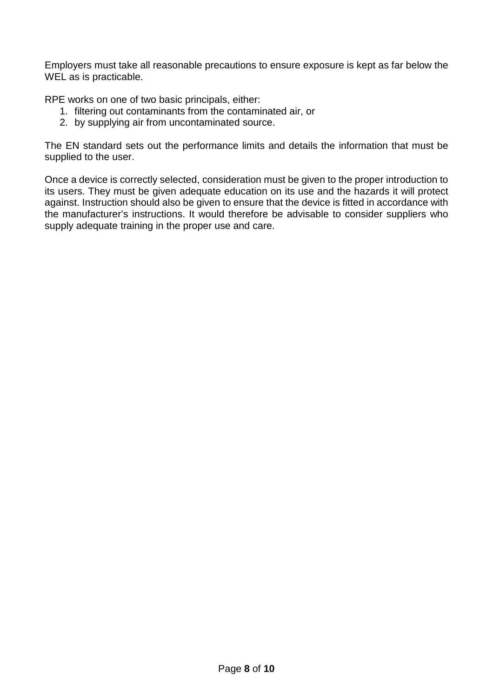Employers must take all reasonable precautions to ensure exposure is kept as far below the WEL as is practicable.

RPE works on one of two basic principals, either:

- 1. filtering out contaminants from the contaminated air, or
- 2. by supplying air from uncontaminated source.

The EN standard sets out the performance limits and details the information that must be supplied to the user.

Once a device is correctly selected, consideration must be given to the proper introduction to its users. They must be given adequate education on its use and the hazards it will protect against. Instruction should also be given to ensure that the device is fitted in accordance with the manufacturer's instructions. It would therefore be advisable to consider suppliers who supply adequate training in the proper use and care.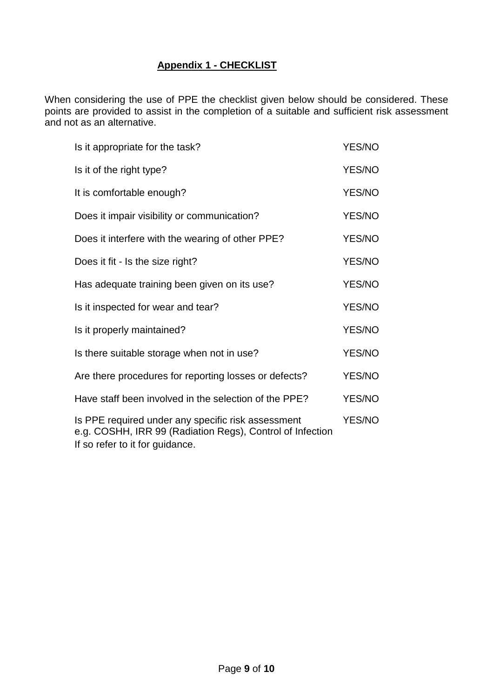# **Appendix 1 - CHECKLIST**

When considering the use of PPE the checklist given below should be considered. These points are provided to assist in the completion of a suitable and sufficient risk assessment and not as an alternative.

| Is it appropriate for the task?                                                                                                                    | YES/NO        |
|----------------------------------------------------------------------------------------------------------------------------------------------------|---------------|
| Is it of the right type?                                                                                                                           | YES/NO        |
| It is comfortable enough?                                                                                                                          | YES/NO        |
| Does it impair visibility or communication?                                                                                                        | YES/NO        |
| Does it interfere with the wearing of other PPE?                                                                                                   |               |
| Does it fit - Is the size right?                                                                                                                   | YES/NO        |
| Has adequate training been given on its use?                                                                                                       | YES/NO        |
| Is it inspected for wear and tear?                                                                                                                 | YES/NO        |
| Is it properly maintained?                                                                                                                         | <b>YES/NO</b> |
| Is there suitable storage when not in use?                                                                                                         | <b>YES/NO</b> |
| Are there procedures for reporting losses or defects?                                                                                              | <b>YES/NO</b> |
| Have staff been involved in the selection of the PPE?                                                                                              |               |
| Is PPE required under any specific risk assessment<br>e.g. COSHH, IRR 99 (Radiation Regs), Control of Infection<br>If so refer to it for guidance. |               |